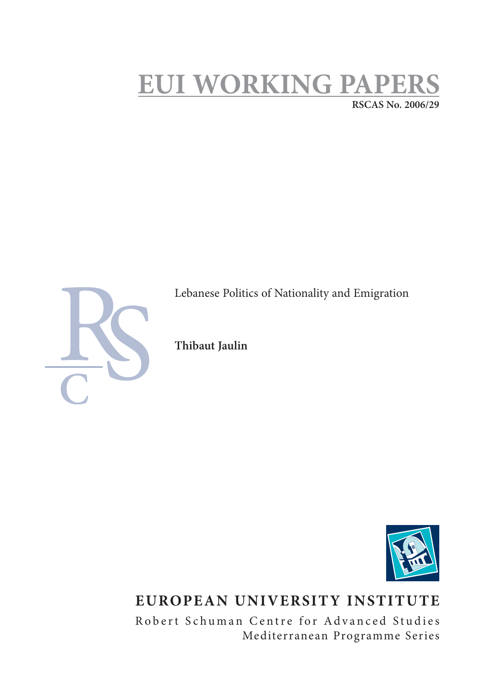# **EUI WORKING PAPERS RSCAS No. 2006/29**



Lebanese Politics of Nationality and Emigration

**Thibaut Jaulin**



## **EUROPEAN UNIVERSITY INSTITUTE**

Robert Schuman Centre for Advanced Studies Mediterranean Programme Series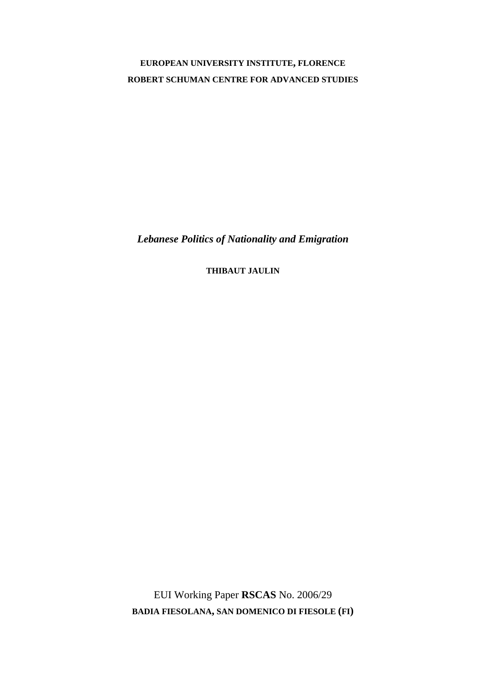## **EUROPEAN UNIVERSITY INSTITUTE, FLORENCE ROBERT SCHUMAN CENTRE FOR ADVANCED STUDIES**

*Lebanese Politics of Nationality and Emigration* 

**THIBAUT JAULIN**

EUI Working Paper **RSCAS** No. 2006/29 **BADIA FIESOLANA, SAN DOMENICO DI FIESOLE (FI)**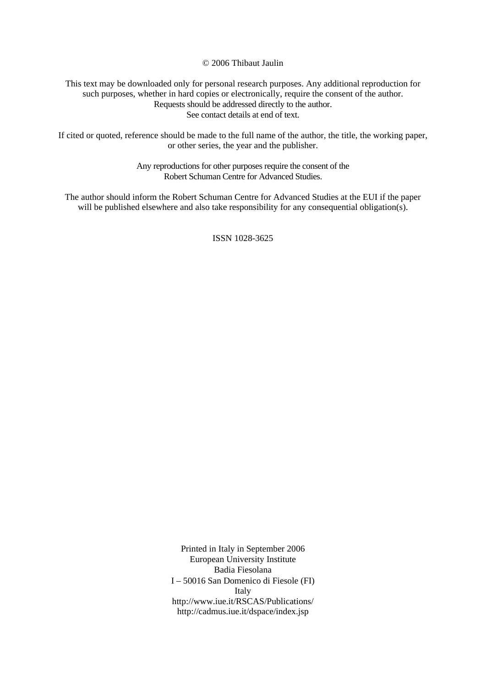© 2006 Thibaut Jaulin

This text may be downloaded only for personal research purposes. Any additional reproduction for such purposes, whether in hard copies or electronically, require the consent of the author. Requests should be addressed directly to the author. See contact details at end of text.

If cited or quoted, reference should be made to the full name of the author, the title, the working paper, or other series, the year and the publisher.

> Any reproductions for other purposes require the consent of the Robert Schuman Centre for Advanced Studies.

The author should inform the Robert Schuman Centre for Advanced Studies at the EUI if the paper will be published elsewhere and also take responsibility for any consequential obligation(s).

ISSN 1028-3625

Printed in Italy in September 2006 European University Institute Badia Fiesolana I – 50016 San Domenico di Fiesole (FI) Italy http://www.iue.it/RSCAS/Publications/ http://cadmus.iue.it/dspace/index.jsp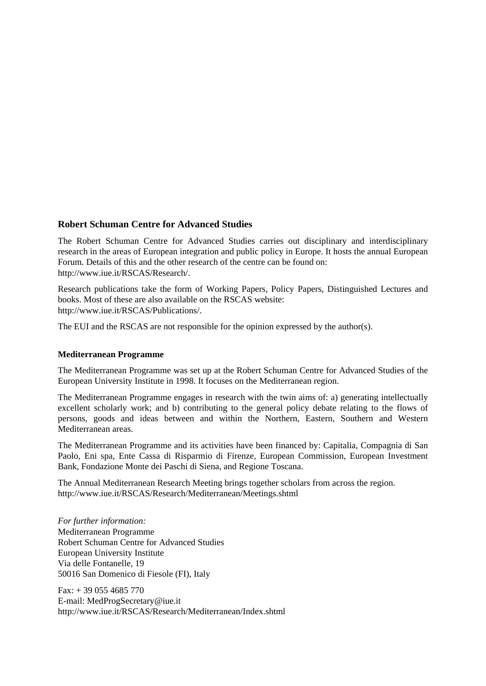## **Robert Schuman Centre for Advanced Studies**

The Robert Schuman Centre for Advanced Studies carries out disciplinary and interdisciplinary research in the areas of European integration and public policy in Europe. It hosts the annual European Forum. Details of this and the other research of the centre can be found on: http://www.iue.it/RSCAS/Research/.

Research publications take the form of Working Papers, Policy Papers, Distinguished Lectures and books. Most of these are also available on the RSCAS website: http://www.iue.it/RSCAS/Publications/.

The EUI and the RSCAS are not responsible for the opinion expressed by the author(s).

## **Mediterranean Programme**

The Mediterranean Programme was set up at the Robert Schuman Centre for Advanced Studies of the European University Institute in 1998. It focuses on the Mediterranean region.

The Mediterranean Programme engages in research with the twin aims of: a) generating intellectually excellent scholarly work; and b) contributing to the general policy debate relating to the flows of persons, goods and ideas between and within the Northern, Eastern, Southern and Western Mediterranean areas.

The Mediterranean Programme and its activities have been financed by: Capitalia, Compagnia di San Paolo, Eni spa, Ente Cassa di Risparmio di Firenze, European Commission, European Investment Bank, Fondazione Monte dei Paschi di Siena, and Regione Toscana.

The Annual Mediterranean Research Meeting brings together scholars from across the region. http://www.iue.it/RSCAS/Research/Mediterranean/Meetings.shtml

*For further information:*  Mediterranean Programme Robert Schuman Centre for Advanced Studies European University Institute Via delle Fontanelle, 19 50016 San Domenico di Fiesole (FI), Italy

 $Fax: + 390554685770$ E-mail: MedProgSecretary@iue.it http://www.iue.it/RSCAS/Research/Mediterranean/Index.shtml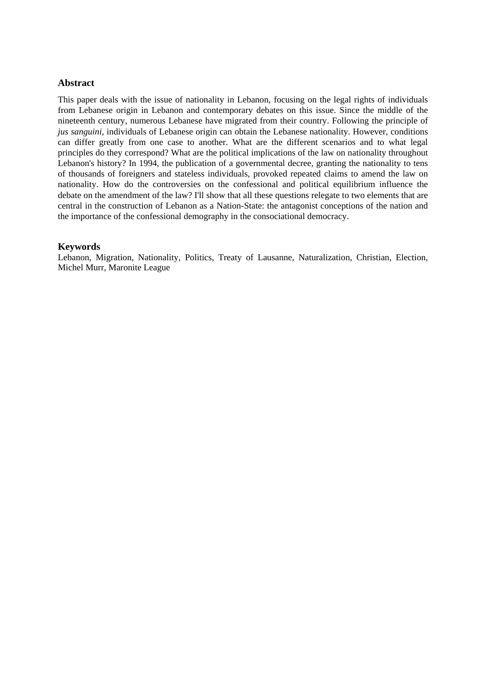## **Abstract**

This paper deals with the issue of nationality in Lebanon, focusing on the legal rights of individuals from Lebanese origin in Lebanon and contemporary debates on this issue. Since the middle of the nineteenth century, numerous Lebanese have migrated from their country. Following the principle of *jus sanguini,* individuals of Lebanese origin can obtain the Lebanese nationality. However, conditions can differ greatly from one case to another. What are the different scenarios and to what legal principles do they correspond? What are the political implications of the law on nationality throughout Lebanon's history? In 1994, the publication of a governmental decree, granting the nationality to tens of thousands of foreigners and stateless individuals, provoked repeated claims to amend the law on nationality. How do the controversies on the confessional and political equilibrium influence the debate on the amendment of the law? I'll show that all these questions relegate to two elements that are central in the construction of Lebanon as a Nation-State: the antagonist conceptions of the nation and the importance of the confessional demography in the consociational democracy.

## **Keywords**

Lebanon, Migration, Nationality, Politics, Treaty of Lausanne, Naturalization, Christian, Election, Michel Murr, Maronite League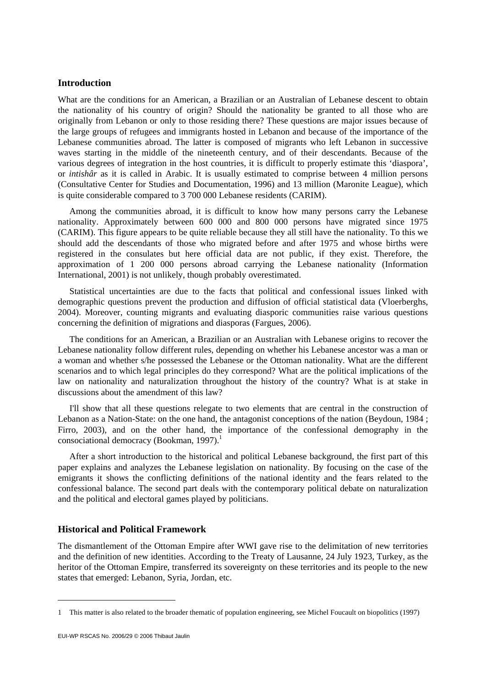## **Introduction**

What are the conditions for an American, a Brazilian or an Australian of Lebanese descent to obtain the nationality of his country of origin? Should the nationality be granted to all those who are originally from Lebanon or only to those residing there? These questions are major issues because of the large groups of refugees and immigrants hosted in Lebanon and because of the importance of the Lebanese communities abroad. The latter is composed of migrants who left Lebanon in successive waves starting in the middle of the nineteenth century, and of their descendants. Because of the various degrees of integration in the host countries, it is difficult to properly estimate this 'diaspora', or *intishâr* as it is called in Arabic. It is usually estimated to comprise between 4 million persons (Consultative Center for Studies and Documentation, 1996) and 13 million (Maronite League), which is quite considerable compared to 3 700 000 Lebanese residents (CARIM).

Among the communities abroad, it is difficult to know how many persons carry the Lebanese nationality. Approximately between 600 000 and 800 000 persons have migrated since 1975 (CARIM). This figure appears to be quite reliable because they all still have the nationality. To this we should add the descendants of those who migrated before and after 1975 and whose births were registered in the consulates but here official data are not public, if they exist. Therefore, the approximation of 1 200 000 persons abroad carrying the Lebanese nationality (Information International, 2001) is not unlikely, though probably overestimated.

Statistical uncertainties are due to the facts that political and confessional issues linked with demographic questions prevent the production and diffusion of official statistical data (Vloerberghs, 2004). Moreover, counting migrants and evaluating diasporic communities raise various questions concerning the definition of migrations and diasporas (Fargues, 2006).

The conditions for an American, a Brazilian or an Australian with Lebanese origins to recover the Lebanese nationality follow different rules, depending on whether his Lebanese ancestor was a man or a woman and whether s/he possessed the Lebanese or the Ottoman nationality. What are the different scenarios and to which legal principles do they correspond? What are the political implications of the law on nationality and naturalization throughout the history of the country? What is at stake in discussions about the amendment of this law?

I'll show that all these questions relegate to two elements that are central in the construction of Lebanon as a Nation-State: on the one hand, the antagonist conceptions of the nation (Beydoun, 1984 ; Firro, 2003), and on the other hand, the importance of the confessional demography in the consociational democracy (Bookman, 1997).<sup>1</sup>

After a short introduction to the historical and political Lebanese background, the first part of this paper explains and analyzes the Lebanese legislation on nationality. By focusing on the case of the emigrants it shows the conflicting definitions of the national identity and the fears related to the confessional balance. The second part deals with the contemporary political debate on naturalization and the political and electoral games played by politicians.

#### **Historical and Political Framework**

The dismantlement of the Ottoman Empire after WWI gave rise to the delimitation of new territories and the definition of new identities. According to the Treaty of Lausanne, 24 July 1923, Turkey, as the heritor of the Ottoman Empire, transferred its sovereignty on these territories and its people to the new states that emerged: Lebanon, Syria, Jordan, etc.

<sup>1</sup> This matter is also related to the broader thematic of population engineering, see Michel Foucault on biopolitics (1997)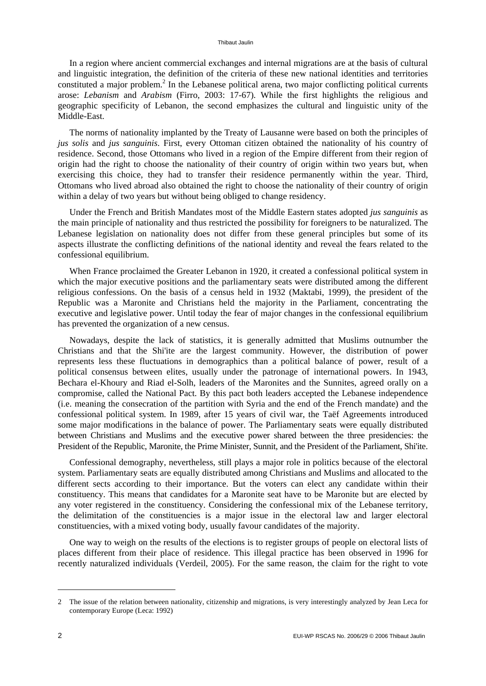In a region where ancient commercial exchanges and internal migrations are at the basis of cultural and linguistic integration, the definition of the criteria of these new national identities and territories constituted a major problem.<sup>2</sup> In the Lebanese political arena, two major conflicting political currents arose: *Lebanism* and *Arabism* (Firro, 2003: 17-67). While the first highlights the religious and geographic specificity of Lebanon, the second emphasizes the cultural and linguistic unity of the Middle-East.

The norms of nationality implanted by the Treaty of Lausanne were based on both the principles of *jus solis* and *jus sanguinis*. First, every Ottoman citizen obtained the nationality of his country of residence. Second, those Ottomans who lived in a region of the Empire different from their region of origin had the right to choose the nationality of their country of origin within two years but, when exercising this choice, they had to transfer their residence permanently within the year. Third, Ottomans who lived abroad also obtained the right to choose the nationality of their country of origin within a delay of two years but without being obliged to change residency.

Under the French and British Mandates most of the Middle Eastern states adopted *jus sanguinis* as the main principle of nationality and thus restricted the possibility for foreigners to be naturalized. The Lebanese legislation on nationality does not differ from these general principles but some of its aspects illustrate the conflicting definitions of the national identity and reveal the fears related to the confessional equilibrium.

When France proclaimed the Greater Lebanon in 1920, it created a confessional political system in which the major executive positions and the parliamentary seats were distributed among the different religious confessions. On the basis of a census held in 1932 (Maktabi, 1999), the president of the Republic was a Maronite and Christians held the majority in the Parliament, concentrating the executive and legislative power. Until today the fear of major changes in the confessional equilibrium has prevented the organization of a new census.

Nowadays, despite the lack of statistics, it is generally admitted that Muslims outnumber the Christians and that the Shi'ite are the largest community. However, the distribution of power represents less these fluctuations in demographics than a political balance of power, result of a political consensus between elites, usually under the patronage of international powers. In 1943, Bechara el-Khoury and Riad el-Solh, leaders of the Maronites and the Sunnites, agreed orally on a compromise, called the National Pact. By this pact both leaders accepted the Lebanese independence (i.e. meaning the consecration of the partition with Syria and the end of the French mandate) and the confessional political system. In 1989, after 15 years of civil war, the Taëf Agreements introduced some major modifications in the balance of power. The Parliamentary seats were equally distributed between Christians and Muslims and the executive power shared between the three presidencies: the President of the Republic, Maronite, the Prime Minister, Sunnit, and the President of the Parliament, Shi'ite.

Confessional demography, nevertheless, still plays a major role in politics because of the electoral system. Parliamentary seats are equally distributed among Christians and Muslims and allocated to the different sects according to their importance. But the voters can elect any candidate within their constituency. This means that candidates for a Maronite seat have to be Maronite but are elected by any voter registered in the constituency. Considering the confessional mix of the Lebanese territory, the delimitation of the constituencies is a major issue in the electoral law and larger electoral constituencies, with a mixed voting body, usually favour candidates of the majority.

One way to weigh on the results of the elections is to register groups of people on electoral lists of places different from their place of residence. This illegal practice has been observed in 1996 for recently naturalized individuals (Verdeil, 2005). For the same reason, the claim for the right to vote

<sup>2</sup> The issue of the relation between nationality, citizenship and migrations, is very interestingly analyzed by Jean Leca for contemporary Europe (Leca: 1992)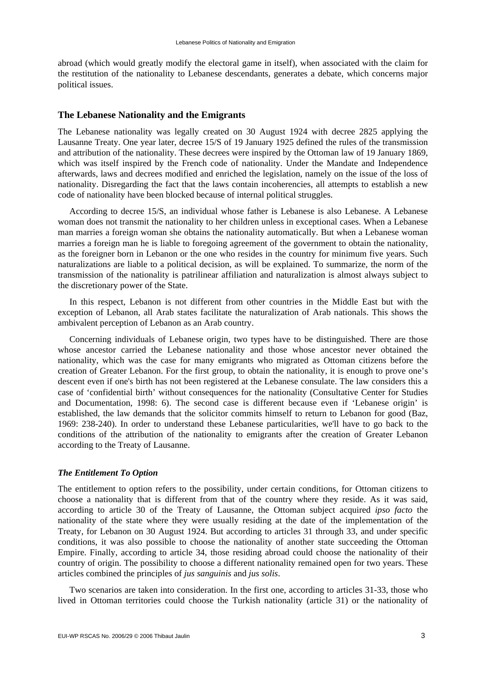abroad (which would greatly modify the electoral game in itself), when associated with the claim for the restitution of the nationality to Lebanese descendants, generates a debate, which concerns major political issues.

#### **The Lebanese Nationality and the Emigrants**

The Lebanese nationality was legally created on 30 August 1924 with decree 2825 applying the Lausanne Treaty. One year later, decree 15/S of 19 January 1925 defined the rules of the transmission and attribution of the nationality. These decrees were inspired by the Ottoman law of 19 January 1869, which was itself inspired by the French code of nationality. Under the Mandate and Independence afterwards, laws and decrees modified and enriched the legislation, namely on the issue of the loss of nationality. Disregarding the fact that the laws contain incoherencies, all attempts to establish a new code of nationality have been blocked because of internal political struggles.

According to decree 15/S, an individual whose father is Lebanese is also Lebanese. A Lebanese woman does not transmit the nationality to her children unless in exceptional cases. When a Lebanese man marries a foreign woman she obtains the nationality automatically. But when a Lebanese woman marries a foreign man he is liable to foregoing agreement of the government to obtain the nationality, as the foreigner born in Lebanon or the one who resides in the country for minimum five years. Such naturalizations are liable to a political decision, as will be explained. To summarize, the norm of the transmission of the nationality is patrilinear affiliation and naturalization is almost always subject to the discretionary power of the State.

In this respect, Lebanon is not different from other countries in the Middle East but with the exception of Lebanon, all Arab states facilitate the naturalization of Arab nationals. This shows the ambivalent perception of Lebanon as an Arab country.

Concerning individuals of Lebanese origin, two types have to be distinguished. There are those whose ancestor carried the Lebanese nationality and those whose ancestor never obtained the nationality, which was the case for many emigrants who migrated as Ottoman citizens before the creation of Greater Lebanon. For the first group, to obtain the nationality, it is enough to prove one's descent even if one's birth has not been registered at the Lebanese consulate. The law considers this a case of 'confidential birth' without consequences for the nationality (Consultative Center for Studies and Documentation, 1998: 6). The second case is different because even if 'Lebanese origin' is established, the law demands that the solicitor commits himself to return to Lebanon for good (Baz, 1969: 238-240). In order to understand these Lebanese particularities, we'll have to go back to the conditions of the attribution of the nationality to emigrants after the creation of Greater Lebanon according to the Treaty of Lausanne.

#### *The Entitlement To Option*

The entitlement to option refers to the possibility, under certain conditions, for Ottoman citizens to choose a nationality that is different from that of the country where they reside. As it was said, according to article 30 of the Treaty of Lausanne, the Ottoman subject acquired *ipso facto* the nationality of the state where they were usually residing at the date of the implementation of the Treaty, for Lebanon on 30 August 1924. But according to articles 31 through 33, and under specific conditions, it was also possible to choose the nationality of another state succeeding the Ottoman Empire. Finally, according to article 34, those residing abroad could choose the nationality of their country of origin. The possibility to choose a different nationality remained open for two years. These articles combined the principles of *jus sanguinis* and *jus solis*.

Two scenarios are taken into consideration. In the first one, according to articles 31-33, those who lived in Ottoman territories could choose the Turkish nationality (article 31) or the nationality of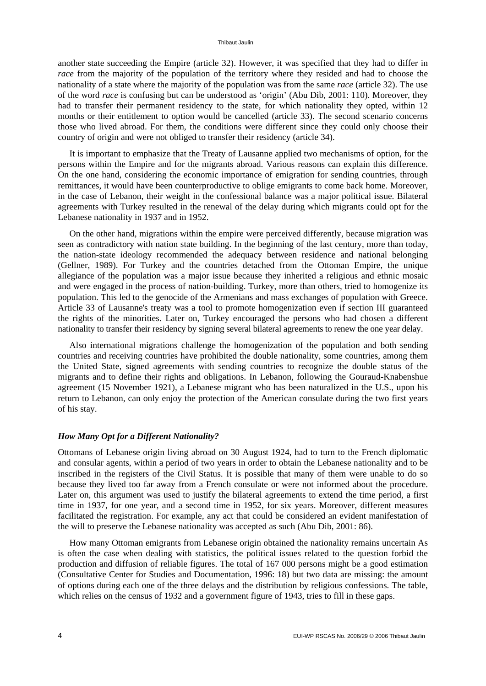another state succeeding the Empire (article 32). However, it was specified that they had to differ in *race* from the majority of the population of the territory where they resided and had to choose the nationality of a state where the majority of the population was from the same *race* (article 32). The use of the word *race* is confusing but can be understood as 'origin' (Abu Dib, 2001: 110). Moreover, they had to transfer their permanent residency to the state, for which nationality they opted, within 12 months or their entitlement to option would be cancelled (article 33). The second scenario concerns those who lived abroad. For them, the conditions were different since they could only choose their country of origin and were not obliged to transfer their residency (article 34).

It is important to emphasize that the Treaty of Lausanne applied two mechanisms of option, for the persons within the Empire and for the migrants abroad. Various reasons can explain this difference. On the one hand, considering the economic importance of emigration for sending countries, through remittances, it would have been counterproductive to oblige emigrants to come back home. Moreover, in the case of Lebanon, their weight in the confessional balance was a major political issue. Bilateral agreements with Turkey resulted in the renewal of the delay during which migrants could opt for the Lebanese nationality in 1937 and in 1952.

On the other hand, migrations within the empire were perceived differently, because migration was seen as contradictory with nation state building. In the beginning of the last century, more than today, the nation-state ideology recommended the adequacy between residence and national belonging (Gellner, 1989). For Turkey and the countries detached from the Ottoman Empire, the unique allegiance of the population was a major issue because they inherited a religious and ethnic mosaic and were engaged in the process of nation-building. Turkey, more than others, tried to homogenize its population. This led to the genocide of the Armenians and mass exchanges of population with Greece. Article 33 of Lausanne's treaty was a tool to promote homogenization even if section III guaranteed the rights of the minorities. Later on, Turkey encouraged the persons who had chosen a different nationality to transfer their residency by signing several bilateral agreements to renew the one year delay.

Also international migrations challenge the homogenization of the population and both sending countries and receiving countries have prohibited the double nationality, some countries, among them the United State, signed agreements with sending countries to recognize the double status of the migrants and to define their rights and obligations. In Lebanon, following the Gouraud-Knabenshue agreement (15 November 1921), a Lebanese migrant who has been naturalized in the U.S., upon his return to Lebanon, can only enjoy the protection of the American consulate during the two first years of his stay.

#### *How Many Opt for a Different Nationality?*

Ottomans of Lebanese origin living abroad on 30 August 1924, had to turn to the French diplomatic and consular agents, within a period of two years in order to obtain the Lebanese nationality and to be inscribed in the registers of the Civil Status. It is possible that many of them were unable to do so because they lived too far away from a French consulate or were not informed about the procedure. Later on, this argument was used to justify the bilateral agreements to extend the time period, a first time in 1937, for one year, and a second time in 1952, for six years. Moreover, different measures facilitated the registration. For example, any act that could be considered an evident manifestation of the will to preserve the Lebanese nationality was accepted as such (Abu Dib, 2001: 86).

How many Ottoman emigrants from Lebanese origin obtained the nationality remains uncertain As is often the case when dealing with statistics, the political issues related to the question forbid the production and diffusion of reliable figures. The total of 167 000 persons might be a good estimation (Consultative Center for Studies and Documentation, 1996: 18) but two data are missing: the amount of options during each one of the three delays and the distribution by religious confessions. The table, which relies on the census of 1932 and a government figure of 1943, tries to fill in these gaps.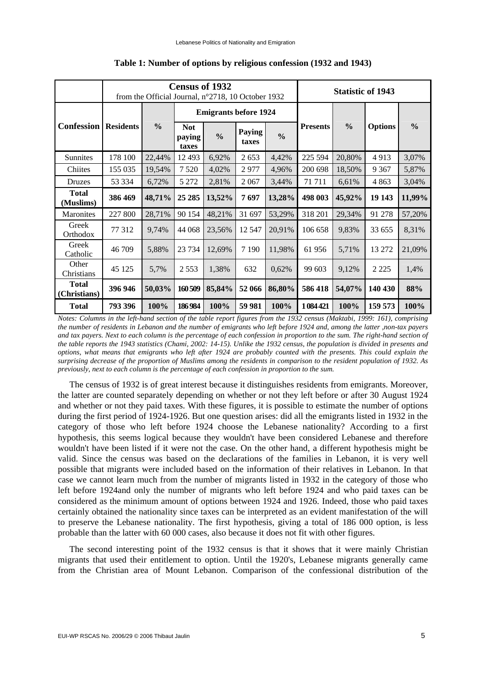|                              | <b>Census of 1932</b><br>from the Official Journal, n°2718, 10 October 1932 |               |                               |               |                 |               | <b>Statistic of 1943</b> |               |                |               |
|------------------------------|-----------------------------------------------------------------------------|---------------|-------------------------------|---------------|-----------------|---------------|--------------------------|---------------|----------------|---------------|
| <b>Confession</b>            | <b>Residents</b>                                                            | $\frac{0}{0}$ | <b>Emigrants before 1924</b>  |               |                 |               |                          |               |                |               |
|                              |                                                                             |               | <b>Not</b><br>paying<br>taxes | $\frac{0}{0}$ | Paying<br>taxes | $\frac{0}{0}$ | <b>Presents</b>          | $\frac{0}{0}$ | <b>Options</b> | $\frac{0}{0}$ |
| Sunnites                     | 178 100                                                                     | 22,44%        | 12 4 93                       | 6,92%         | 2653            | 4,42%         | 225 594                  | 20,80%        | 4913           | 3,07%         |
| Chiites                      | 155 035                                                                     | 19,54%        | 7 5 20                        | 4,02%         | 2977            | 4,96%         | 200 698                  | 18,50%        | 9 3 6 7        | 5,87%         |
| <b>Druzes</b>                | 53 334                                                                      | 6,72%         | 5 2 7 2                       | 2,81%         | 2067            | 3,44%         | 71711                    | 6,61%         | 4863           | 3,04%         |
| <b>Total</b><br>(Muslims)    | 386 469                                                                     | 48,71%        | 25 28 5                       | 13,52%        | 7697            | 13,28%        | 498 003                  | 45,92%        | 19 143         | 11,99%        |
| <b>Maronites</b>             | 227 800                                                                     | 28,71%        | 90 154                        | 48,21%        | 31 697          | 53,29%        | 318 201                  | 29,34%        | 91 278         | 57,20%        |
| Greek<br>Orthodox            | 77 312                                                                      | 9,74%         | 44 068                        | 23,56%        | 12 5 47         | 20,91%        | 106 658                  | 9,83%         | 33 655         | 8.31%         |
| Greek<br>Catholic            | 46 709                                                                      | 5,88%         | 23 7 34                       | 12,69%        | 7 1 9 0         | 11,98%        | 61 956                   | 5,71%         | 13 27 2        | 21,09%        |
| Other<br>Christians          | 45 125                                                                      | 5,7%          | 2 5 5 3                       | 1,38%         | 632             | 0,62%         | 99 603                   | 9,12%         | 2 2 2 5        | 1,4%          |
| <b>Total</b><br>(Christians) | 396 946                                                                     | 50,03%        | 160509                        | 85,84%        | 52 066          | 86,80%        | 586 418                  | 54,07%        | 140 430        | 88%           |
| <b>Total</b>                 | 793 396                                                                     | 100%          | 186984                        | 100%          | 59 981          | 100%          | 1084421                  | 100%          | 159 573        | 100%          |

#### **Table 1: Number of options by religious confession (1932 and 1943)**

*Notes: Columns in the left-hand section of the table report figures from the 1932 census (Maktabi, 1999: 161), comprising the number of residents in Lebanon and the number of emigrants who left before 1924 and, among the latter ,non-tax payers and tax payers. Next to each column is the percentage of each confession in proportion to the sum. The right-hand section of the table reports the 1943 statistics (Chami, 2002: 14-15). Unlike the 1932 census, the population is divided in presents and options, what means that emigrants who left after 1924 are probably counted with the presents. This could explain the surprising decrease of the proportion of Muslims among the residents in comparison to the resident population of 1932. As previously, next to each column is the percentage of each confession in proportion to the sum.* 

The census of 1932 is of great interest because it distinguishes residents from emigrants. Moreover, the latter are counted separately depending on whether or not they left before or after 30 August 1924 and whether or not they paid taxes. With these figures, it is possible to estimate the number of options during the first period of 1924-1926. But one question arises: did all the emigrants listed in 1932 in the category of those who left before 1924 choose the Lebanese nationality? According to a first hypothesis, this seems logical because they wouldn't have been considered Lebanese and therefore wouldn't have been listed if it were not the case. On the other hand, a different hypothesis might be valid. Since the census was based on the declarations of the families in Lebanon, it is very well possible that migrants were included based on the information of their relatives in Lebanon. In that case we cannot learn much from the number of migrants listed in 1932 in the category of those who left before 1924and only the number of migrants who left before 1924 and who paid taxes can be considered as the minimum amount of options between 1924 and 1926. Indeed, those who paid taxes certainly obtained the nationality since taxes can be interpreted as an evident manifestation of the will to preserve the Lebanese nationality. The first hypothesis, giving a total of 186 000 option, is less probable than the latter with 60 000 cases, also because it does not fit with other figures.

The second interesting point of the 1932 census is that it shows that it were mainly Christian migrants that used their entitlement to option. Until the 1920's, Lebanese migrants generally came from the Christian area of Mount Lebanon. Comparison of the confessional distribution of the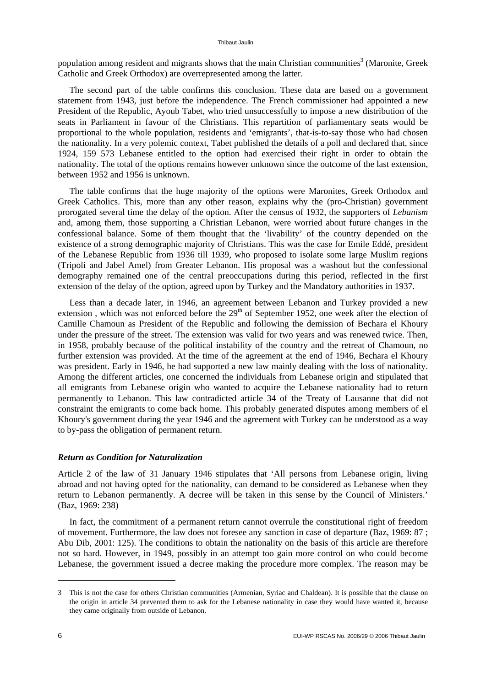population among resident and migrants shows that the main Christian communities<sup>3</sup> (Maronite, Greek Catholic and Greek Orthodox) are overrepresented among the latter.

The second part of the table confirms this conclusion. These data are based on a government statement from 1943, just before the independence. The French commissioner had appointed a new President of the Republic, Ayoub Tabet, who tried unsuccessfully to impose a new distribution of the seats in Parliament in favour of the Christians. This repartition of parliamentary seats would be proportional to the whole population, residents and 'emigrants', that-is-to-say those who had chosen the nationality. In a very polemic context, Tabet published the details of a poll and declared that, since 1924, 159 573 Lebanese entitled to the option had exercised their right in order to obtain the nationality. The total of the options remains however unknown since the outcome of the last extension, between 1952 and 1956 is unknown.

The table confirms that the huge majority of the options were Maronites, Greek Orthodox and Greek Catholics. This, more than any other reason, explains why the (pro-Christian) government prorogated several time the delay of the option. After the census of 1932, the supporters of *Lebanism* and, among them, those supporting a Christian Lebanon, were worried about future changes in the confessional balance. Some of them thought that the 'livability' of the country depended on the existence of a strong demographic majority of Christians. This was the case for Emile Eddé, president of the Lebanese Republic from 1936 till 1939, who proposed to isolate some large Muslim regions (Tripoli and Jabel Amel) from Greater Lebanon. His proposal was a washout but the confessional demography remained one of the central preoccupations during this period, reflected in the first extension of the delay of the option, agreed upon by Turkey and the Mandatory authorities in 1937.

Less than a decade later, in 1946, an agreement between Lebanon and Turkey provided a new extension, which was not enforced before the  $29<sup>th</sup>$  of September 1952, one week after the election of Camille Chamoun as President of the Republic and following the demission of Bechara el Khoury under the pressure of the street. The extension was valid for two years and was renewed twice. Then, in 1958, probably because of the political instability of the country and the retreat of Chamoun, no further extension was provided. At the time of the agreement at the end of 1946, Bechara el Khoury was president. Early in 1946, he had supported a new law mainly dealing with the loss of nationality. Among the different articles, one concerned the individuals from Lebanese origin and stipulated that all emigrants from Lebanese origin who wanted to acquire the Lebanese nationality had to return permanently to Lebanon. This law contradicted article 34 of the Treaty of Lausanne that did not constraint the emigrants to come back home. This probably generated disputes among members of el Khoury's government during the year 1946 and the agreement with Turkey can be understood as a way to by-pass the obligation of permanent return.

#### *Return as Condition for Naturalization*

Article 2 of the law of 31 January 1946 stipulates that 'All persons from Lebanese origin, living abroad and not having opted for the nationality, can demand to be considered as Lebanese when they return to Lebanon permanently. A decree will be taken in this sense by the Council of Ministers.' (Baz, 1969: 238)

In fact, the commitment of a permanent return cannot overrule the constitutional right of freedom of movement. Furthermore, the law does not foresee any sanction in case of departure (Baz, 1969: 87 ; Abu Dib, 2001: 125). The conditions to obtain the nationality on the basis of this article are therefore not so hard. However, in 1949, possibly in an attempt too gain more control on who could become Lebanese, the government issued a decree making the procedure more complex. The reason may be

<sup>3</sup> This is not the case for others Christian communities (Armenian, Syriac and Chaldean). It is possible that the clause on the origin in article 34 prevented them to ask for the Lebanese nationality in case they would have wanted it, because they came originally from outside of Lebanon.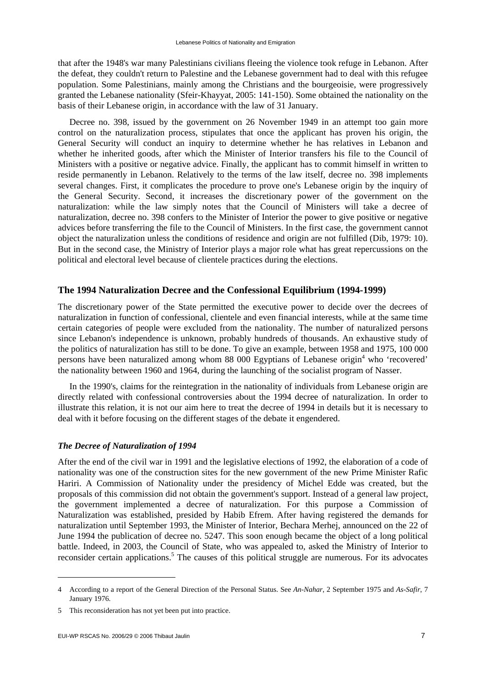that after the 1948's war many Palestinians civilians fleeing the violence took refuge in Lebanon. After the defeat, they couldn't return to Palestine and the Lebanese government had to deal with this refugee population. Some Palestinians, mainly among the Christians and the bourgeoisie, were progressively granted the Lebanese nationality (Sfeir-Khayyat, 2005: 141-150). Some obtained the nationality on the basis of their Lebanese origin, in accordance with the law of 31 January.

Decree no. 398, issued by the government on 26 November 1949 in an attempt too gain more control on the naturalization process, stipulates that once the applicant has proven his origin, the General Security will conduct an inquiry to determine whether he has relatives in Lebanon and whether he inherited goods, after which the Minister of Interior transfers his file to the Council of Ministers with a positive or negative advice. Finally, the applicant has to commit himself in written to reside permanently in Lebanon. Relatively to the terms of the law itself, decree no. 398 implements several changes. First, it complicates the procedure to prove one's Lebanese origin by the inquiry of the General Security. Second, it increases the discretionary power of the government on the naturalization: while the law simply notes that the Council of Ministers will take a decree of naturalization, decree no. 398 confers to the Minister of Interior the power to give positive or negative advices before transferring the file to the Council of Ministers. In the first case, the government cannot object the naturalization unless the conditions of residence and origin are not fulfilled (Dib, 1979: 10). But in the second case, the Ministry of Interior plays a major role what has great repercussions on the political and electoral level because of clientele practices during the elections.

### **The 1994 Naturalization Decree and the Confessional Equilibrium (1994-1999)**

The discretionary power of the State permitted the executive power to decide over the decrees of naturalization in function of confessional, clientele and even financial interests, while at the same time certain categories of people were excluded from the nationality. The number of naturalized persons since Lebanon's independence is unknown, probably hundreds of thousands. An exhaustive study of the politics of naturalization has still to be done. To give an example, between 1958 and 1975, 100 000 persons have been naturalized among whom 88 000 Egyptians of Lebanese origin<sup>4</sup> who 'recovered' the nationality between 1960 and 1964, during the launching of the socialist program of Nasser.

In the 1990's, claims for the reintegration in the nationality of individuals from Lebanese origin are directly related with confessional controversies about the 1994 decree of naturalization. In order to illustrate this relation, it is not our aim here to treat the decree of 1994 in details but it is necessary to deal with it before focusing on the different stages of the debate it engendered.

#### *The Decree of Naturalization of 1994*

After the end of the civil war in 1991 and the legislative elections of 1992, the elaboration of a code of nationality was one of the construction sites for the new government of the new Prime Minister Rafic Hariri. A Commission of Nationality under the presidency of Michel Edde was created, but the proposals of this commission did not obtain the government's support. Instead of a general law project, the government implemented a decree of naturalization. For this purpose a Commission of Naturalization was established, presided by Habib Efrem. After having registered the demands for naturalization until September 1993, the Minister of Interior, Bechara Merhej, announced on the 22 of June 1994 the publication of decree no. 5247. This soon enough became the object of a long political battle. Indeed, in 2003, the Council of State, who was appealed to, asked the Ministry of Interior to reconsider certain applications.<sup>5</sup> The causes of this political struggle are numerous. For its advocates

<sup>4</sup> According to a report of the General Direction of the Personal Status. See *An-Nahar*, 2 September 1975 and *As-Safir*, 7 January 1976.

<sup>5</sup> This reconsideration has not yet been put into practice.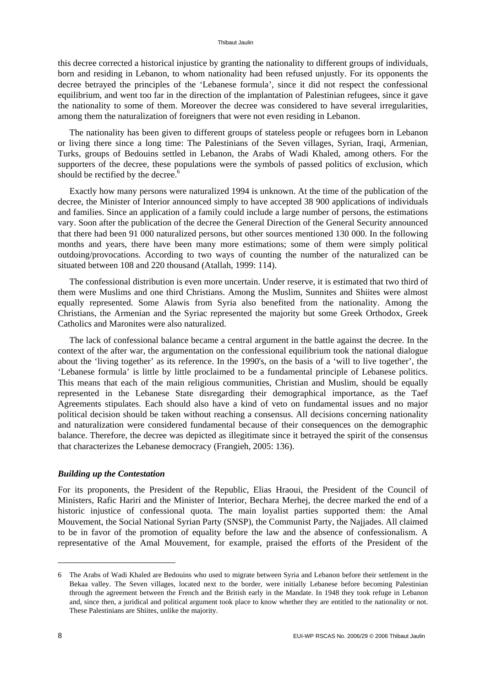this decree corrected a historical injustice by granting the nationality to different groups of individuals, born and residing in Lebanon, to whom nationality had been refused unjustly. For its opponents the decree betrayed the principles of the 'Lebanese formula', since it did not respect the confessional equilibrium, and went too far in the direction of the implantation of Palestinian refugees, since it gave the nationality to some of them. Moreover the decree was considered to have several irregularities, among them the naturalization of foreigners that were not even residing in Lebanon.

The nationality has been given to different groups of stateless people or refugees born in Lebanon or living there since a long time: The Palestinians of the Seven villages, Syrian, Iraqi, Armenian, Turks, groups of Bedouins settled in Lebanon, the Arabs of Wadi Khaled, among others. For the supporters of the decree, these populations were the symbols of passed politics of exclusion, which should be rectified by the decree.<sup>6</sup>

Exactly how many persons were naturalized 1994 is unknown. At the time of the publication of the decree, the Minister of Interior announced simply to have accepted 38 900 applications of individuals and families. Since an application of a family could include a large number of persons, the estimations vary. Soon after the publication of the decree the General Direction of the General Security announced that there had been 91 000 naturalized persons, but other sources mentioned 130 000. In the following months and years, there have been many more estimations; some of them were simply political outdoing/provocations. According to two ways of counting the number of the naturalized can be situated between 108 and 220 thousand (Atallah, 1999: 114).

The confessional distribution is even more uncertain. Under reserve, it is estimated that two third of them were Muslims and one third Christians. Among the Muslim, Sunnites and Shiites were almost equally represented. Some Alawis from Syria also benefited from the nationality. Among the Christians, the Armenian and the Syriac represented the majority but some Greek Orthodox, Greek Catholics and Maronites were also naturalized.

The lack of confessional balance became a central argument in the battle against the decree. In the context of the after war, the argumentation on the confessional equilibrium took the national dialogue about the 'living together' as its reference. In the 1990's, on the basis of a 'will to live together', the 'Lebanese formula' is little by little proclaimed to be a fundamental principle of Lebanese politics. This means that each of the main religious communities, Christian and Muslim, should be equally represented in the Lebanese State disregarding their demographical importance, as the Taef Agreements stipulates. Each should also have a kind of veto on fundamental issues and no major political decision should be taken without reaching a consensus. All decisions concerning nationality and naturalization were considered fundamental because of their consequences on the demographic balance. Therefore, the decree was depicted as illegitimate since it betrayed the spirit of the consensus that characterizes the Lebanese democracy (Frangieh, 2005: 136).

#### *Building up the Contestation*

For its proponents, the President of the Republic, Elias Hraoui, the President of the Council of Ministers, Rafic Hariri and the Minister of Interior, Bechara Merhej, the decree marked the end of a historic injustice of confessional quota. The main loyalist parties supported them: the Amal Mouvement, the Social National Syrian Party (SNSP), the Communist Party, the Najjades. All claimed to be in favor of the promotion of equality before the law and the absence of confessionalism. A representative of the Amal Mouvement, for example, praised the efforts of the President of the

<sup>6</sup> The Arabs of Wadi Khaled are Bedouins who used to migrate between Syria and Lebanon before their settlement in the Bekaa valley. The Seven villages, located next to the border, were initially Lebanese before becoming Palestinian through the agreement between the French and the British early in the Mandate. In 1948 they took refuge in Lebanon and, since then, a juridical and political argument took place to know whether they are entitled to the nationality or not. These Palestinians are Shiites, unlike the majority.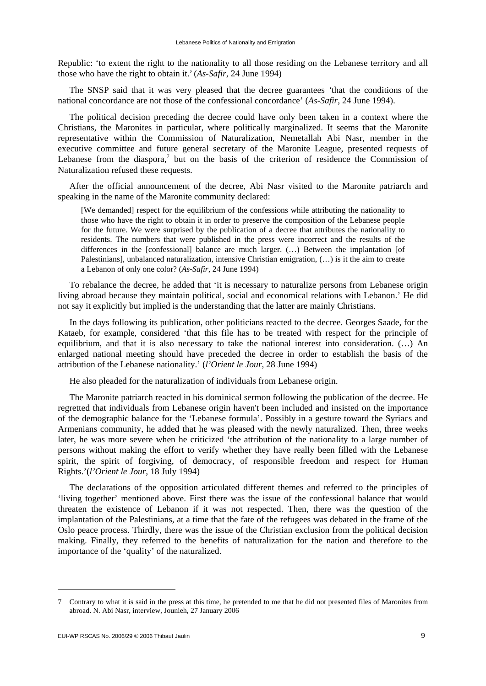Republic: 'to extent the right to the nationality to all those residing on the Lebanese territory and all those who have the right to obtain it.'(*As-Safir*, 24 June 1994)

The SNSP said that it was very pleased that the decree guarantees *'*that the conditions of the national concordance are not those of the confessional concordance' (*As-Safir,* 24 June 1994).

The political decision preceding the decree could have only been taken in a context where the Christians, the Maronites in particular, where politically marginalized. It seems that the Maronite representative within the Commission of Naturalization, Nemetallah Abi Nasr, member in the executive committee and future general secretary of the Maronite League, presented requests of Lebanese from the diaspora, $\bar{y}$  but on the basis of the criterion of residence the Commission of Naturalization refused these requests.

After the official announcement of the decree, Abi Nasr visited to the Maronite patriarch and speaking in the name of the Maronite community declared:

[We demanded] respect for the equilibrium of the confessions while attributing the nationality to those who have the right to obtain it in order to preserve the composition of the Lebanese people for the future. We were surprised by the publication of a decree that attributes the nationality to residents. The numbers that were published in the press were incorrect and the results of the differences in the [confessional] balance are much larger. (…) Between the implantation [of Palestinians], unbalanced naturalization, intensive Christian emigration, (…) is it the aim to create a Lebanon of only one color? (*As-Safir*, 24 June 1994)

To rebalance the decree, he added that 'it is necessary to naturalize persons from Lebanese origin living abroad because they maintain political, social and economical relations with Lebanon.' He did not say it explicitly but implied is the understanding that the latter are mainly Christians.

In the days following its publication, other politicians reacted to the decree. Georges Saade, for the Kataeb, for example, considered 'that this file has to be treated with respect for the principle of equilibrium, and that it is also necessary to take the national interest into consideration. (…) An enlarged national meeting should have preceded the decree in order to establish the basis of the attribution of the Lebanese nationality.' (*l'Orient le Jour*, 28 June 1994)

He also pleaded for the naturalization of individuals from Lebanese origin.

The Maronite patriarch reacted in his dominical sermon following the publication of the decree. He regretted that individuals from Lebanese origin haven't been included and insisted on the importance of the demographic balance for the 'Lebanese formula'. Possibly in a gesture toward the Syriacs and Armenians community, he added that he was pleased with the newly naturalized. Then, three weeks later, he was more severe when he criticized 'the attribution of the nationality to a large number of persons without making the effort to verify whether they have really been filled with the Lebanese spirit, the spirit of forgiving, of democracy, of responsible freedom and respect for Human Rights.'(*l'Orient le Jour,* 18 July 1994)

The declarations of the opposition articulated different themes and referred to the principles of 'living together' mentioned above. First there was the issue of the confessional balance that would threaten the existence of Lebanon if it was not respected. Then, there was the question of the implantation of the Palestinians, at a time that the fate of the refugees was debated in the frame of the Oslo peace process. Thirdly, there was the issue of the Christian exclusion from the political decision making. Finally, they referred to the benefits of naturalization for the nation and therefore to the importance of the 'quality' of the naturalized.

<sup>7</sup> Contrary to what it is said in the press at this time, he pretended to me that he did not presented files of Maronites from abroad. N. Abi Nasr, interview, Jounieh, 27 January 2006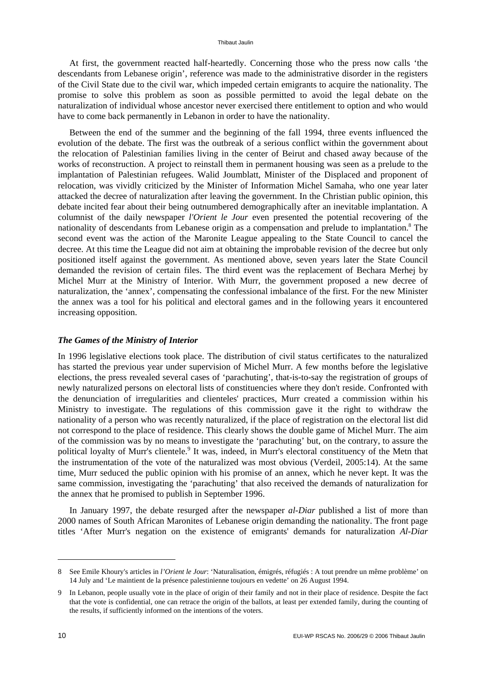At first, the government reacted half-heartedly. Concerning those who the press now calls 'the descendants from Lebanese origin', reference was made to the administrative disorder in the registers of the Civil State due to the civil war, which impeded certain emigrants to acquire the nationality. The promise to solve this problem as soon as possible permitted to avoid the legal debate on the naturalization of individual whose ancestor never exercised there entitlement to option and who would have to come back permanently in Lebanon in order to have the nationality.

Between the end of the summer and the beginning of the fall 1994, three events influenced the evolution of the debate. The first was the outbreak of a serious conflict within the government about the relocation of Palestinian families living in the center of Beirut and chased away because of the works of reconstruction. A project to reinstall them in permanent housing was seen as a prelude to the implantation of Palestinian refugees. Walid Joumblatt, Minister of the Displaced and proponent of relocation, was vividly criticized by the Minister of Information Michel Samaha, who one year later attacked the decree of naturalization after leaving the government. In the Christian public opinion, this debate incited fear about their being outnumbered demographically after an inevitable implantation. A columnist of the daily newspaper *l'Orient le Jour* even presented the potential recovering of the nationality of descendants from Lebanese origin as a compensation and prelude to implantation.<sup>8</sup> The second event was the action of the Maronite League appealing to the State Council to cancel the decree. At this time the League did not aim at obtaining the improbable revision of the decree but only positioned itself against the government. As mentioned above, seven years later the State Council demanded the revision of certain files. The third event was the replacement of Bechara Merhej by Michel Murr at the Ministry of Interior. With Murr, the government proposed a new decree of naturalization, the 'annex', compensating the confessional imbalance of the first. For the new Minister the annex was a tool for his political and electoral games and in the following years it encountered increasing opposition.

#### *The Games of the Ministry of Interior*

In 1996 legislative elections took place. The distribution of civil status certificates to the naturalized has started the previous year under supervision of Michel Murr. A few months before the legislative elections, the press revealed several cases of 'parachuting', that-is-to-say the registration of groups of newly naturalized persons on electoral lists of constituencies where they don't reside. Confronted with the denunciation of irregularities and clienteles' practices, Murr created a commission within his Ministry to investigate. The regulations of this commission gave it the right to withdraw the nationality of a person who was recently naturalized, if the place of registration on the electoral list did not correspond to the place of residence. This clearly shows the double game of Michel Murr. The aim of the commission was by no means to investigate the 'parachuting' but, on the contrary, to assure the political loyalty of Murr's clientele.<sup>9</sup> It was, indeed, in Murr's electoral constituency of the Metn that the instrumentation of the vote of the naturalized was most obvious (Verdeil, 2005:14). At the same time, Murr seduced the public opinion with his promise of an annex, which he never kept. It was the same commission, investigating the 'parachuting' that also received the demands of naturalization for the annex that he promised to publish in September 1996.

In January 1997, the debate resurged after the newspaper *al-Diar* published a list of more than 2000 names of South African Maronites of Lebanese origin demanding the nationality. The front page titles 'After Murr's negation on the existence of emigrants' demands for naturalization *Al-Diar*

<sup>8</sup> See Emile Khoury's articles in *l'Orient le Jour*: 'Naturalisation, émigrés, réfugiés : A tout prendre un même problème' on 14 July and 'Le maintient de la présence palestinienne toujours en vedette' on 26 August 1994.

<sup>9</sup> In Lebanon, people usually vote in the place of origin of their family and not in their place of residence. Despite the fact that the vote is confidential, one can retrace the origin of the ballots, at least per extended family, during the counting of the results, if sufficiently informed on the intentions of the voters.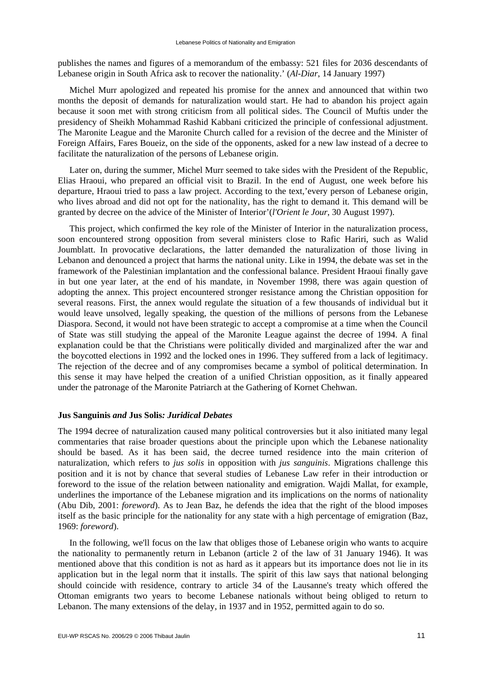publishes the names and figures of a memorandum of the embassy: 521 files for 2036 descendants of Lebanese origin in South Africa ask to recover the nationality.' (*Al-Diar*, 14 January 1997)

Michel Murr apologized and repeated his promise for the annex and announced that within two months the deposit of demands for naturalization would start. He had to abandon his project again because it soon met with strong criticism from all political sides. The Council of Muftis under the presidency of Sheikh Mohammad Rashid Kabbani criticized the principle of confessional adjustment. The Maronite League and the Maronite Church called for a revision of the decree and the Minister of Foreign Affairs, Fares Boueiz, on the side of the opponents, asked for a new law instead of a decree to facilitate the naturalization of the persons of Lebanese origin.

Later on, during the summer, Michel Murr seemed to take sides with the President of the Republic, Elias Hraoui, who prepared an official visit to Brazil. In the end of August, one week before his departure, Hraoui tried to pass a law project. According to the text,'every person of Lebanese origin, who lives abroad and did not opt for the nationality, has the right to demand it. This demand will be granted by decree on the advice of the Minister of Interior'(*l'Orient le Jour*, 30 August 1997).

This project, which confirmed the key role of the Minister of Interior in the naturalization process, soon encountered strong opposition from several ministers close to Rafic Hariri, such as Walid Joumblatt. In provocative declarations, the latter demanded the naturalization of those living in Lebanon and denounced a project that harms the national unity. Like in 1994, the debate was set in the framework of the Palestinian implantation and the confessional balance. President Hraoui finally gave in but one year later, at the end of his mandate, in November 1998, there was again question of adopting the annex. This project encountered stronger resistance among the Christian opposition for several reasons. First, the annex would regulate the situation of a few thousands of individual but it would leave unsolved, legally speaking, the question of the millions of persons from the Lebanese Diaspora. Second, it would not have been strategic to accept a compromise at a time when the Council of State was still studying the appeal of the Maronite League against the decree of 1994. A final explanation could be that the Christians were politically divided and marginalized after the war and the boycotted elections in 1992 and the locked ones in 1996. They suffered from a lack of legitimacy. The rejection of the decree and of any compromises became a symbol of political determination. In this sense it may have helped the creation of a unified Christian opposition, as it finally appeared under the patronage of the Maronite Patriarch at the Gathering of Kornet Chehwan.

### **Jus Sanguinis** *and* **Jus Solis***: Juridical Debates*

The 1994 decree of naturalization caused many political controversies but it also initiated many legal commentaries that raise broader questions about the principle upon which the Lebanese nationality should be based. As it has been said, the decree turned residence into the main criterion of naturalization, which refers to *jus solis* in opposition with *jus sanguinis*. Migrations challenge this position and it is not by chance that several studies of Lebanese Law refer in their introduction or foreword to the issue of the relation between nationality and emigration. Wajdi Mallat, for example, underlines the importance of the Lebanese migration and its implications on the norms of nationality (Abu Dib, 2001: *foreword*). As to Jean Baz, he defends the idea that the right of the blood imposes itself as the basic principle for the nationality for any state with a high percentage of emigration (Baz, 1969: *foreword*).

In the following, we'll focus on the law that obliges those of Lebanese origin who wants to acquire the nationality to permanently return in Lebanon (article 2 of the law of 31 January 1946). It was mentioned above that this condition is not as hard as it appears but its importance does not lie in its application but in the legal norm that it installs. The spirit of this law says that national belonging should coincide with residence, contrary to article 34 of the Lausanne's treaty which offered the Ottoman emigrants two years to become Lebanese nationals without being obliged to return to Lebanon. The many extensions of the delay, in 1937 and in 1952, permitted again to do so.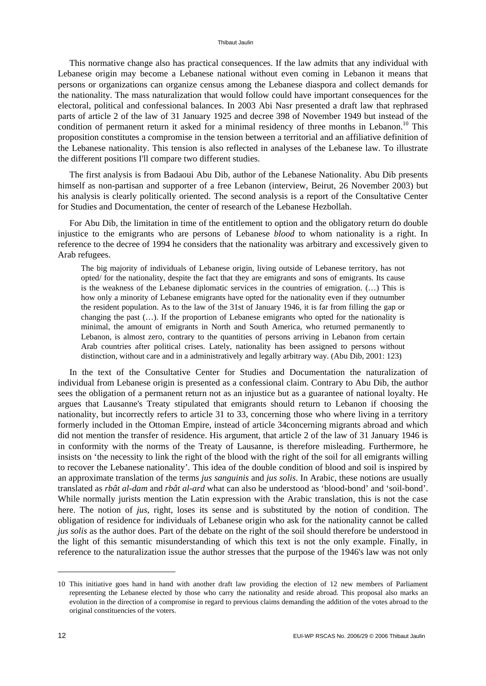This normative change also has practical consequences. If the law admits that any individual with Lebanese origin may become a Lebanese national without even coming in Lebanon it means that persons or organizations can organize census among the Lebanese diaspora and collect demands for the nationality. The mass naturalization that would follow could have important consequences for the electoral, political and confessional balances. In 2003 Abi Nasr presented a draft law that rephrased parts of article 2 of the law of 31 January 1925 and decree 398 of November 1949 but instead of the condition of permanent return it asked for a minimal residency of three months in Lebanon.<sup>10</sup> This proposition constitutes a compromise in the tension between a territorial and an affiliative definition of the Lebanese nationality. This tension is also reflected in analyses of the Lebanese law. To illustrate the different positions I'll compare two different studies.

The first analysis is from Badaoui Abu Dib, author of the Lebanese Nationality. Abu Dib presents himself as non-partisan and supporter of a free Lebanon (interview, Beirut, 26 November 2003) but his analysis is clearly politically oriented. The second analysis is a report of the Consultative Center for Studies and Documentation, the center of research of the Lebanese Hezbollah.

For Abu Dib, the limitation in time of the entitlement to option and the obligatory return do double injustice to the emigrants who are persons of Lebanese *blood* to whom nationality is a right. In reference to the decree of 1994 he considers that the nationality was arbitrary and excessively given to Arab refugees.

The big majority of individuals of Lebanese origin, living outside of Lebanese territory, has not opted/ for the nationality, despite the fact that they are emigrants and sons of emigrants. Its cause is the weakness of the Lebanese diplomatic services in the countries of emigration. (…) This is how only a minority of Lebanese emigrants have opted for the nationality even if they outnumber the resident population. As to the law of the 31st of January 1946, it is far from filling the gap or changing the past (…). If the proportion of Lebanese emigrants who opted for the nationality is minimal, the amount of emigrants in North and South America, who returned permanently to Lebanon, is almost zero, contrary to the quantities of persons arriving in Lebanon from certain Arab countries after political crises. Lately, nationality has been assigned to persons without distinction, without care and in a administratively and legally arbitrary way. (Abu Dib, 2001: 123)

In the text of the Consultative Center for Studies and Documentation the naturalization of individual from Lebanese origin is presented as a confessional claim. Contrary to Abu Dib, the author sees the obligation of a permanent return not as an injustice but as a guarantee of national loyalty. He argues that Lausanne's Treaty stipulated that emigrants should return to Lebanon if choosing the nationality, but incorrectly refers to article 31 to 33, concerning those who where living in a territory formerly included in the Ottoman Empire, instead of article 34concerning migrants abroad and which did not mention the transfer of residence. His argument, that article 2 of the law of 31 January 1946 is in conformity with the norms of the Treaty of Lausanne, is therefore misleading. Furthermore, he insists on 'the necessity to link the right of the blood with the right of the soil for all emigrants willing to recover the Lebanese nationality'*.* This idea of the double condition of blood and soil is inspired by an approximate translation of the terms *jus sanguinis* and *jus solis*. In Arabic, these notions are usually translated as *rbât al-dam* and *rbât al-ard* what can also be understood as 'blood-bond' and 'soil-bond'. While normally jurists mention the Latin expression with the Arabic translation, this is not the case here. The notion of *jus*, right, loses its sense and is substituted by the notion of condition. The obligation of residence for individuals of Lebanese origin who ask for the nationality cannot be called *jus solis* as the author does. Part of the debate on the right of the soil should therefore be understood in the light of this semantic misunderstanding of which this text is not the only example. Finally, in reference to the naturalization issue the author stresses that the purpose of the 1946's law was not only

<sup>10</sup> This initiative goes hand in hand with another draft law providing the election of 12 new members of Parliament representing the Lebanese elected by those who carry the nationality and reside abroad. This proposal also marks an evolution in the direction of a compromise in regard to previous claims demanding the addition of the votes abroad to the original constituencies of the voters.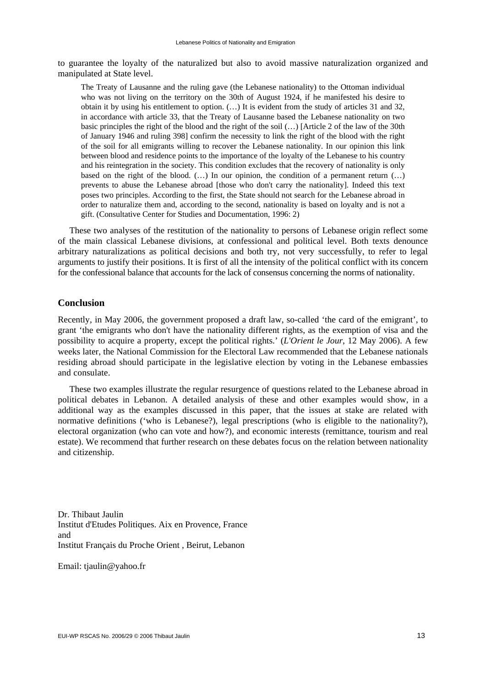to guarantee the loyalty of the naturalized but also to avoid massive naturalization organized and manipulated at State level.

The Treaty of Lausanne and the ruling gave (the Lebanese nationality) to the Ottoman individual who was not living on the territory on the 30th of August 1924, if he manifested his desire to obtain it by using his entitlement to option. (…) It is evident from the study of articles 31 and 32, in accordance with article 33, that the Treaty of Lausanne based the Lebanese nationality on two basic principles the right of the blood and the right of the soil (…) [Article 2 of the law of the 30th of January 1946 and ruling 398] confirm the necessity to link the right of the blood with the right of the soil for all emigrants willing to recover the Lebanese nationality. In our opinion this link between blood and residence points to the importance of the loyalty of the Lebanese to his country and his reintegration in the society. This condition excludes that the recovery of nationality is only based on the right of the blood.  $($ ...) In our opinion, the condition of a permanent return  $($ ...) prevents to abuse the Lebanese abroad [those who don't carry the nationality]. Indeed this text poses two principles. According to the first, the State should not search for the Lebanese abroad in order to naturalize them and, according to the second, nationality is based on loyalty and is not a gift. (Consultative Center for Studies and Documentation, 1996: 2)

These two analyses of the restitution of the nationality to persons of Lebanese origin reflect some of the main classical Lebanese divisions, at confessional and political level. Both texts denounce arbitrary naturalizations as political decisions and both try, not very successfully, to refer to legal arguments to justify their positions. It is first of all the intensity of the political conflict with its concern for the confessional balance that accounts for the lack of consensus concerning the norms of nationality.

#### **Conclusion**

Recently, in May 2006, the government proposed a draft law, so-called 'the card of the emigrant', to grant 'the emigrants who don't have the nationality different rights, as the exemption of visa and the possibility to acquire a property, except the political rights.' (*L'Orient le Jour*, 12 May 2006). A few weeks later, the National Commission for the Electoral Law recommended that the Lebanese nationals residing abroad should participate in the legislative election by voting in the Lebanese embassies and consulate.

These two examples illustrate the regular resurgence of questions related to the Lebanese abroad in political debates in Lebanon. A detailed analysis of these and other examples would show, in a additional way as the examples discussed in this paper, that the issues at stake are related with normative definitions ('who is Lebanese?), legal prescriptions (who is eligible to the nationality?), electoral organization (who can vote and how?), and economic interests (remittance, tourism and real estate). We recommend that further research on these debates focus on the relation between nationality and citizenship.

Dr. Thibaut Jaulin Institut d'Etudes Politiques. Aix en Provence, France and Institut Français du Proche Orient , Beirut, Lebanon

Email: tjaulin@yahoo.fr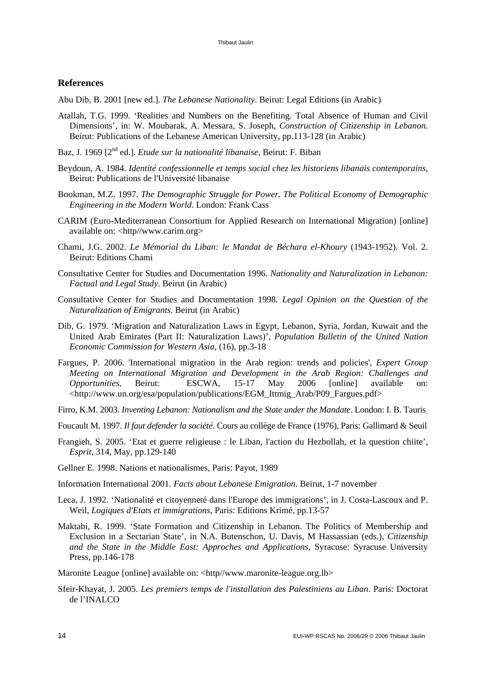#### **References**

Abu Dib, B. 2001 [new ed.]. *The Lebanese Nationality*. Beirut: Legal Editions (in Arabic)

- Atallah, T.G. 1999. 'Realities and Numbers on the Benefiting. Total Absence of Human and Civil Dimensions', in: W. Moubarak, A. Messara, S. Joseph, *Construction of Citizenship in Lebanon*. Beirut: Publications of the Lebanese American University, pp.113-128 (in Arabic)
- Baz, J. 1969 [2nd ed.]. *Etude sur la nationalité libanaise*, Beirut: F. Biban
- Beydoun, A. 1984. *Identité confessionnelle et temps social chez les historiens libanais contemporains*, Beirut: Publications de l'Université libanaise
- Bookman, M.Z. 1997. *The Demographic Struggle for Power. The Political Economy of Demographic Engineering in the Modern World*. London: Frank Cass
- CARIM (Euro-Mediterranean Consortium for Applied Research on International Migration) [online] available on: <http//www.carim.org>
- Chami, J.G. 2002. *Le Mémorial du Liban: le Mandat de Béchara el-Khoury* (1943-1952). Vol. 2. Beirut: Editions Chami
- Consultative Center for Studies and Documentation 1996. *Nationality and Naturalization in Lebanon: Factual and Legal Study*. Beirut (in Arabic)
- Consultative Center for Studies and Documentation 1998. *Legal Opinion on the Question of the Naturalization of Emigrants*. Beirut (in Arabic)
- Dib, G. 1979. 'Migration and Naturalization Laws in Egypt, Lebanon, Syria, Jordan, Kuwait and the United Arab Emirates (Part II: Naturalization Laws)', *Population Bulletin of the United Nation Economic Commission for Western Asia,* (16), pp.3-18
- Fargues, P. 2006. 'International migration in the Arab region: trends and policies', *Expert Group Meeting on International Migration and Development in the Arab Region: Challenges and Opportunities*, Beirut: ESCWA, 15-17 May 2006 [online] available on: <http://www.un.org/esa/population/publications/EGM\_Ittmig\_Arab/P09\_Fargues.pdf>
- Firro, K.M. 2003. *Inventing Lebanon: Nationalism and the State under the Mandate*. London: I. B. Tauris
- Foucault M. 1997. *Il faut defender la société*. Cours au collège de France (1976), Paris: Gallimard & Seuil
- Frangieh, S. 2005. 'Etat et guerre religieuse : le Liban, l'action du Hezbollah, et la question chiite', *Esprit*, 314, May, pp.129-140
- Gellner E. 1998. Nations et nationalismes, Paris: Payot, 1989
- Information International 2001. *Facts about Lebanese Emigration*. Beirut, 1-7 november
- Leca, J. 1992. 'Nationalité et citoyenneté dans l'Europe des immigrations', in J. Costa-Lascoux and P. Weil, *Logiques d'Etats et immigrations*, Paris: Editions Krimé, pp.13-57
- Maktabi, R. 1999. 'State Formation and Citizenship in Lebanon. The Politics of Membership and Exclusion in a Sectarian State', in N.A. Butenschon, U. Davis, M Hassassian (eds.), *Citizenship and the State in the Middle East: Approches and Applications,* Syracuse: Syracuse University Press, pp.146-178

Maronite League [online] available on: <http//www.maronite-league.org.lb>

Sfeir-Khayat, J. 2005. *Les premiers temps de l'installation des Palestiniens au Liban*. Paris: Doctorat de l'INALCO